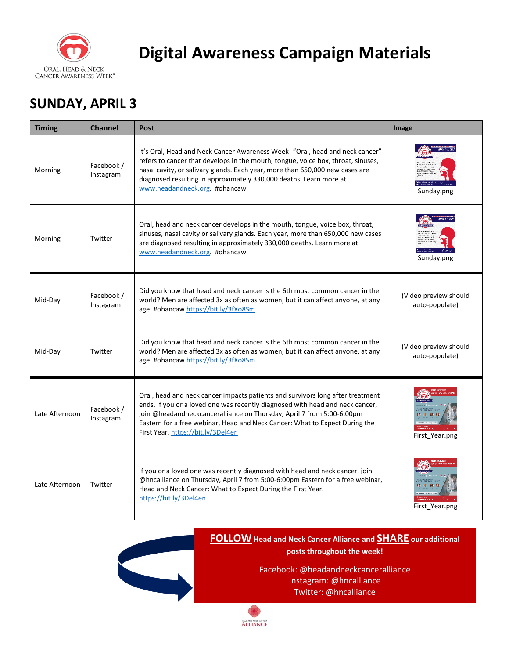

### **SUNDAY, APRIL 3**

| <b>Timing</b>  | <b>Channel</b>          | <b>Post</b>                                                                                                                                                                                                                                                                                                                                                   | Image                                   |
|----------------|-------------------------|---------------------------------------------------------------------------------------------------------------------------------------------------------------------------------------------------------------------------------------------------------------------------------------------------------------------------------------------------------------|-----------------------------------------|
| Morning        | Facebook /<br>Instagram | It's Oral, Head and Neck Cancer Awareness Week! "Oral, head and neck cancer"<br>refers to cancer that develops in the mouth, tongue, voice box, throat, sinuses,<br>nasal cavity, or salivary glands. Each year, more than 650,000 new cases are<br>diagnosed resulting in approximately 330,000 deaths. Learn more at<br>www.headandneck.org. #ohancaw       | Sunday.png                              |
| Morning        | Twitter                 | Oral, head and neck cancer develops in the mouth, tongue, voice box, throat,<br>sinuses, nasal cavity or salivary glands. Each year, more than 650,000 new cases<br>are diagnosed resulting in approximately 330,000 deaths. Learn more at<br>www.headandneck.org. #ohancaw                                                                                   | Sunday.png                              |
| Mid-Day        | Facebook /<br>Instagram | Did you know that head and neck cancer is the 6th most common cancer in the<br>world? Men are affected 3x as often as women, but it can affect anyone, at any<br>age. #ohancaw https://bit.ly/3fXo8Sm                                                                                                                                                         | (Video preview should<br>auto-populate) |
| Mid-Day        | Twitter                 | Did you know that head and neck cancer is the 6th most common cancer in the<br>world? Men are affected 3x as often as women, but it can affect anyone, at any<br>age. #ohancaw https://bit.ly/3fXo8Sm                                                                                                                                                         | (Video preview should<br>auto-populate) |
| Late Afternoon | Facebook /<br>Instagram | Oral, head and neck cancer impacts patients and survivors long after treatment<br>ends. If you or a loved one was recently diagnosed with head and neck cancer,<br>join @headandneckcanceralliance on Thursday, April 7 from 5:00-6:00pm<br>Eastern for a free webinar, Head and Neck Cancer: What to Expect During the<br>First Year. https://bit.ly/3Del4en | First_Year.png                          |
| Late Afternoon | Twitter                 | If you or a loved one was recently diagnosed with head and neck cancer, join<br>@hncalliance on Thursday, April 7 from 5:00-6:00pm Eastern for a free webinar,<br>Head and Neck Cancer: What to Expect During the First Year.<br>https://bit.ly/3Del4en                                                                                                       | First_Year.png                          |



### **FOLLOW Head and Neck Cancer Alliance and SHARE our additional posts throughout the week!**

Facebook: @headandneckcanceralliance Instagram: @hncalliance Twitter: @hncalliance

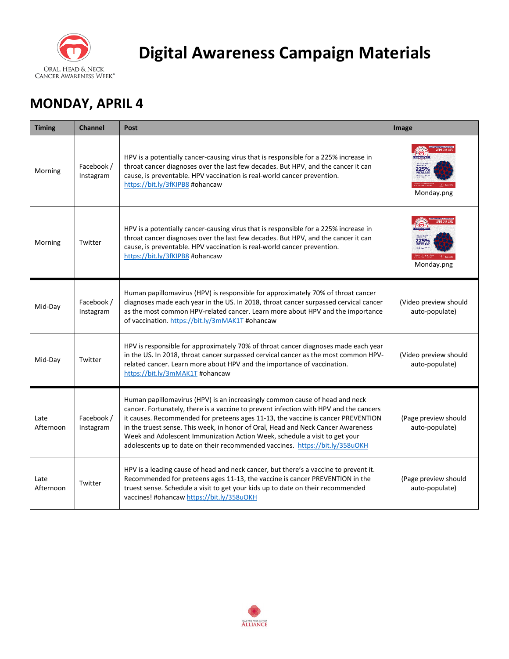

### **MONDAY, APRIL 4**

| <b>Timing</b>     | <b>Channel</b>          | Post                                                                                                                                                                                                                                                                                                                                                                                                                                                                                                       | Image                                   |
|-------------------|-------------------------|------------------------------------------------------------------------------------------------------------------------------------------------------------------------------------------------------------------------------------------------------------------------------------------------------------------------------------------------------------------------------------------------------------------------------------------------------------------------------------------------------------|-----------------------------------------|
| Morning           | Facebook /<br>Instagram | HPV is a potentially cancer-causing virus that is responsible for a 225% increase in<br>throat cancer diagnoses over the last few decades. But HPV, and the cancer it can<br>cause, is preventable. HPV vaccination is real-world cancer prevention.<br>https://bit.ly/3fKIPB8 #ohancaw                                                                                                                                                                                                                    | Monday.png                              |
| Morning           | Twitter                 | HPV is a potentially cancer-causing virus that is responsible for a 225% increase in<br>throat cancer diagnoses over the last few decades. But HPV, and the cancer it can<br>cause, is preventable. HPV vaccination is real-world cancer prevention.<br>https://bit.ly/3fKIPB8 #ohancaw                                                                                                                                                                                                                    | Monday.png                              |
| Mid-Day           | Facebook /<br>Instagram | Human papillomavirus (HPV) is responsible for approximately 70% of throat cancer<br>diagnoses made each year in the US. In 2018, throat cancer surpassed cervical cancer<br>as the most common HPV-related cancer. Learn more about HPV and the importance<br>of vaccination. https://bit.ly/3mMAK1T #ohancaw                                                                                                                                                                                              | (Video preview should<br>auto-populate) |
| Mid-Day           | Twitter                 | HPV is responsible for approximately 70% of throat cancer diagnoses made each year<br>in the US. In 2018, throat cancer surpassed cervical cancer as the most common HPV-<br>related cancer. Learn more about HPV and the importance of vaccination.<br>https://bit.ly/3mMAK1T #ohancaw                                                                                                                                                                                                                    | (Video preview should<br>auto-populate) |
| Late<br>Afternoon | Facebook /<br>Instagram | Human papillomavirus (HPV) is an increasingly common cause of head and neck<br>cancer. Fortunately, there is a vaccine to prevent infection with HPV and the cancers<br>it causes. Recommended for preteens ages 11-13, the vaccine is cancer PREVENTION<br>in the truest sense. This week, in honor of Oral, Head and Neck Cancer Awareness<br>Week and Adolescent Immunization Action Week, schedule a visit to get your<br>adolescents up to date on their recommended vaccines. https://bit.ly/358uOKH | (Page preview should<br>auto-populate)  |
| Late<br>Afternoon | Twitter                 | HPV is a leading cause of head and neck cancer, but there's a vaccine to prevent it.<br>Recommended for preteens ages 11-13, the vaccine is cancer PREVENTION in the<br>truest sense. Schedule a visit to get your kids up to date on their recommended<br>vaccines! #ohancaw https://bit.ly/358uOKH                                                                                                                                                                                                       | (Page preview should<br>auto-populate)  |

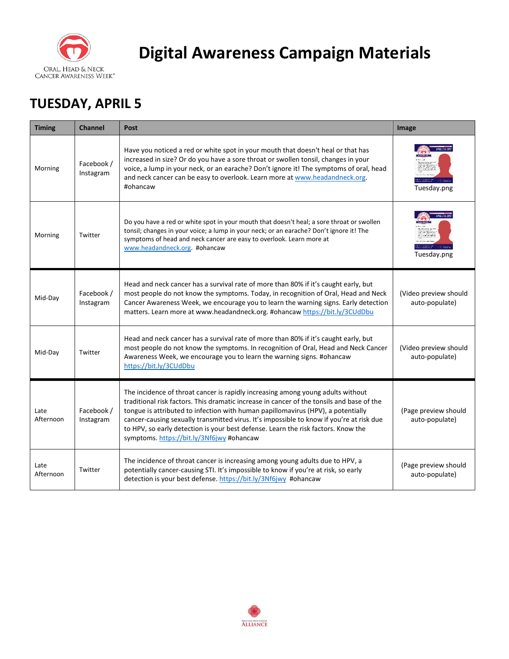

## **TUESDAY, APRIL 5**

| <b>Timing</b>     | <b>Channel</b>          | <b>Post</b>                                                                                                                                                                                                                                                                                                                                                                                                                                                                                    | Image                                   |
|-------------------|-------------------------|------------------------------------------------------------------------------------------------------------------------------------------------------------------------------------------------------------------------------------------------------------------------------------------------------------------------------------------------------------------------------------------------------------------------------------------------------------------------------------------------|-----------------------------------------|
| Morning           | Facebook /<br>Instagram | Have you noticed a red or white spot in your mouth that doesn't heal or that has<br>increased in size? Or do you have a sore throat or swollen tonsil, changes in your<br>voice, a lump in your neck, or an earache? Don't ignore it! The symptoms of oral, head<br>and neck cancer can be easy to overlook. Learn more at www.headandneck.org.<br>#ohancaw                                                                                                                                    | Tuesday.png                             |
| Morning           | Twitter                 | Do you have a red or white spot in your mouth that doesn't heal; a sore throat or swollen<br>tonsil; changes in your voice; a lump in your neck; or an earache? Don't ignore it! The<br>symptoms of head and neck cancer are easy to overlook. Learn more at<br>www.headandneck.org. #ohancaw                                                                                                                                                                                                  | Tuesday.png                             |
| Mid-Day           | Facebook /<br>Instagram | Head and neck cancer has a survival rate of more than 80% if it's caught early, but<br>most people do not know the symptoms. Today, in recognition of Oral, Head and Neck<br>Cancer Awareness Week, we encourage you to learn the warning signs. Early detection<br>matters. Learn more at www.headandneck.org. #ohancaw https://bit.ly/3CUdDbu                                                                                                                                                | (Video preview should<br>auto-populate) |
| Mid-Day           | Twitter                 | Head and neck cancer has a survival rate of more than 80% if it's caught early, but<br>most people do not know the symptoms. In recognition of Oral, Head and Neck Cancer<br>Awareness Week, we encourage you to learn the warning signs. #ohancaw<br>https://bit.ly/3CUdDbu                                                                                                                                                                                                                   | (Video preview should<br>auto-populate) |
| Late<br>Afternoon | Facebook /<br>Instagram | The incidence of throat cancer is rapidly increasing among young adults without<br>traditional risk factors. This dramatic increase in cancer of the tonsils and base of the<br>tongue is attributed to infection with human papillomavirus (HPV), a potentially<br>cancer-causing sexually transmitted virus. It's impossible to know if you're at risk due<br>to HPV, so early detection is your best defense. Learn the risk factors. Know the<br>symptoms. https://bit.ly/3Nf6jwy #ohancaw | (Page preview should<br>auto-populate)  |
| Late<br>Afternoon | Twitter                 | The incidence of throat cancer is increasing among young adults due to HPV, a<br>potentially cancer-causing STI. It's impossible to know if you're at risk, so early<br>detection is your best defense. https://bit.ly/3Nf6jwy #ohancaw                                                                                                                                                                                                                                                        | (Page preview should<br>auto-populate)  |

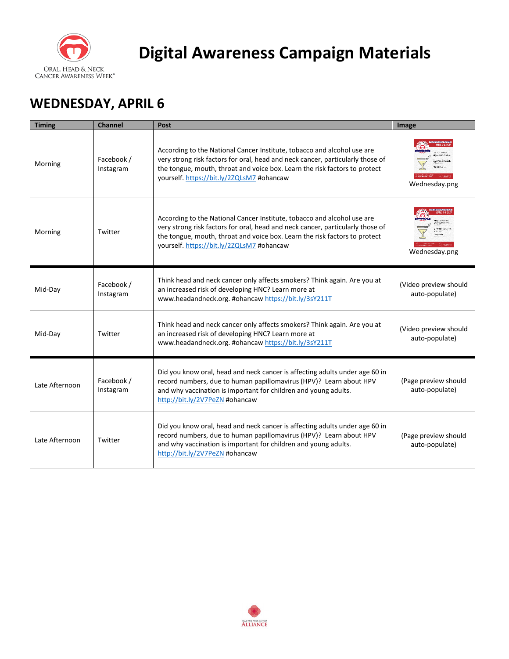

## **WEDNESDAY, APRIL 6**

| <b>Timing</b>  | <b>Channel</b>          | Post                                                                                                                                                                                                                                                                                 | Image                                   |
|----------------|-------------------------|--------------------------------------------------------------------------------------------------------------------------------------------------------------------------------------------------------------------------------------------------------------------------------------|-----------------------------------------|
| Morning        | Facebook /<br>Instagram | According to the National Cancer Institute, tobacco and alcohol use are<br>very strong risk factors for oral, head and neck cancer, particularly those of<br>the tongue, mouth, throat and voice box. Learn the risk factors to protect<br>yourself. https://bit.ly/2ZQLsM7 #ohancaw | Wednesday.png                           |
| Morning        | Twitter                 | According to the National Cancer Institute, tobacco and alcohol use are<br>very strong risk factors for oral, head and neck cancer, particularly those of<br>the tongue, mouth, throat and voice box. Learn the risk factors to protect<br>yourself. https://bit.ly/2ZQLsM7 #ohancaw | Wednesday.png                           |
| Mid-Day        | Facebook /<br>Instagram | Think head and neck cancer only affects smokers? Think again. Are you at<br>an increased risk of developing HNC? Learn more at<br>www.headandneck.org. #ohancaw https://bit.ly/3sY211T                                                                                               | (Video preview should<br>auto-populate) |
| Mid-Day        | Twitter                 | Think head and neck cancer only affects smokers? Think again. Are you at<br>an increased risk of developing HNC? Learn more at<br>www.headandneck.org. #ohancaw https://bit.ly/3sY211T                                                                                               | (Video preview should<br>auto-populate) |
| Late Afternoon | Facebook /<br>Instagram | Did you know oral, head and neck cancer is affecting adults under age 60 in<br>record numbers, due to human papillomavirus (HPV)? Learn about HPV<br>and why vaccination is important for children and young adults.<br>http://bit.ly/2V7PeZN #ohancaw                               | (Page preview should<br>auto-populate)  |
| Late Afternoon | Twitter                 | Did you know oral, head and neck cancer is affecting adults under age 60 in<br>record numbers, due to human papillomavirus (HPV)? Learn about HPV<br>and why vaccination is important for children and young adults.<br>http://bit.ly/2V7PeZN #ohancaw                               | (Page preview should<br>auto-populate)  |

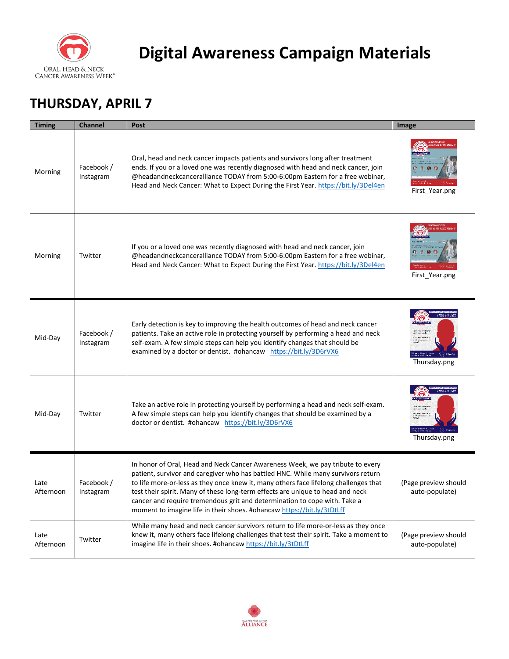

## **THURSDAY, APRIL 7**

| <b>Timing</b>     | <b>Channel</b>          | Post                                                                                                                                                                                                                                                                                                                                                                                                                                                                                                | Image                                  |
|-------------------|-------------------------|-----------------------------------------------------------------------------------------------------------------------------------------------------------------------------------------------------------------------------------------------------------------------------------------------------------------------------------------------------------------------------------------------------------------------------------------------------------------------------------------------------|----------------------------------------|
| Morning           | Facebook /<br>Instagram | Oral, head and neck cancer impacts patients and survivors long after treatment<br>ends. If you or a loved one was recently diagnosed with head and neck cancer, join<br>@headandneckcanceralliance TODAY from 5:00-6:00pm Eastern for a free webinar,<br>Head and Neck Cancer: What to Expect During the First Year. https://bit.ly/3Del4en                                                                                                                                                         | First_Year.png                         |
| Morning           | Twitter                 | If you or a loved one was recently diagnosed with head and neck cancer, join<br>@headandneckcanceralliance TODAY from 5:00-6:00pm Eastern for a free webinar,<br>Head and Neck Cancer: What to Expect During the First Year. https://bit.ly/3Del4en                                                                                                                                                                                                                                                 | First_Year.png                         |
| Mid-Day           | Facebook /<br>Instagram | Early detection is key to improving the health outcomes of head and neck cancer<br>patients. Take an active role in protecting yourself by performing a head and neck<br>self-exam. A few simple steps can help you identify changes that should be<br>examined by a doctor or dentist. #ohancaw https://bit.ly/3D6rVX6                                                                                                                                                                             | Thursday.png                           |
| Mid-Day           | Twitter                 | Take an active role in protecting yourself by performing a head and neck self-exam.<br>A few simple steps can help you identify changes that should be examined by a<br>doctor or dentist. #ohancaw https://bit.ly/3D6rVX6                                                                                                                                                                                                                                                                          | Thursday.png                           |
| Late<br>Afternoon | Facebook /<br>Instagram | In honor of Oral, Head and Neck Cancer Awareness Week, we pay tribute to every<br>patient, survivor and caregiver who has battled HNC. While many survivors return<br>to life more-or-less as they once knew it, many others face lifelong challenges that<br>test their spirit. Many of these long-term effects are unique to head and neck<br>cancer and require tremendous grit and determination to cope with. Take a<br>moment to imagine life in their shoes. #ohancaw https://bit.ly/3tDtLff | (Page preview should<br>auto-populate) |
| Late<br>Afternoon | Twitter                 | While many head and neck cancer survivors return to life more-or-less as they once<br>knew it, many others face lifelong challenges that test their spirit. Take a moment to<br>imagine life in their shoes. #ohancaw https://bit.ly/3tDtLff                                                                                                                                                                                                                                                        | (Page preview should<br>auto-populate) |

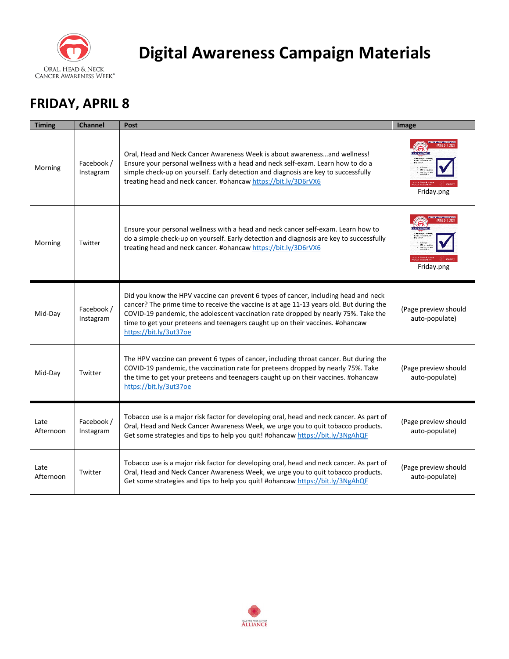

### **FRIDAY, APRIL 8**

| <b>Timing</b>     | <b>Channel</b>          | <b>Post</b>                                                                                                                                                                                                                                                                                                                                                                     | Image                                  |
|-------------------|-------------------------|---------------------------------------------------------------------------------------------------------------------------------------------------------------------------------------------------------------------------------------------------------------------------------------------------------------------------------------------------------------------------------|----------------------------------------|
| Morning           | Facebook /<br>Instagram | Oral, Head and Neck Cancer Awareness Week is about awarenessand wellness!<br>Ensure your personal wellness with a head and neck self-exam. Learn how to do a<br>simple check-up on yourself. Early detection and diagnosis are key to successfully<br>treating head and neck cancer. #ohancaw https://bit.ly/3D6rVX6                                                            | Friday.png                             |
| Morning           | Twitter                 | Ensure your personal wellness with a head and neck cancer self-exam. Learn how to<br>do a simple check-up on yourself. Early detection and diagnosis are key to successfully<br>treating head and neck cancer. #ohancaw https://bit.ly/3D6rVX6                                                                                                                                  | Friday.png                             |
| Mid-Day           | Facebook /<br>Instagram | Did you know the HPV vaccine can prevent 6 types of cancer, including head and neck<br>cancer? The prime time to receive the vaccine is at age 11-13 years old. But during the<br>COVID-19 pandemic, the adolescent vaccination rate dropped by nearly 75%. Take the<br>time to get your preteens and teenagers caught up on their vaccines. #ohancaw<br>https://bit.ly/3ut37oe | (Page preview should<br>auto-populate) |
| Mid-Day           | Twitter                 | The HPV vaccine can prevent 6 types of cancer, including throat cancer. But during the<br>COVID-19 pandemic, the vaccination rate for preteens dropped by nearly 75%. Take<br>the time to get your preteens and teenagers caught up on their vaccines. #ohancaw<br>https://bit.ly/3ut37oe                                                                                       | (Page preview should<br>auto-populate) |
| Late<br>Afternoon | Facebook /<br>Instagram | Tobacco use is a major risk factor for developing oral, head and neck cancer. As part of<br>Oral, Head and Neck Cancer Awareness Week, we urge you to quit tobacco products.<br>Get some strategies and tips to help you quit! #ohancaw https://bit.ly/3NgAhQF                                                                                                                  | (Page preview should<br>auto-populate) |
| Late<br>Afternoon | Twitter                 | Tobacco use is a major risk factor for developing oral, head and neck cancer. As part of<br>Oral, Head and Neck Cancer Awareness Week, we urge you to quit tobacco products.<br>Get some strategies and tips to help you quit! #ohancaw https://bit.ly/3NgAhQF                                                                                                                  | (Page preview should<br>auto-populate) |

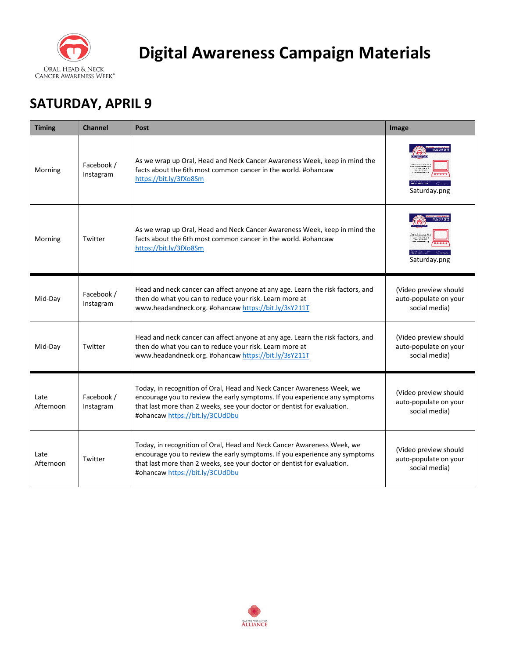

## **SATURDAY, APRIL 9**

| <b>Timing</b>     | <b>Channel</b>          | Post                                                                                                                                                                                                                                                               | Image                                                           |
|-------------------|-------------------------|--------------------------------------------------------------------------------------------------------------------------------------------------------------------------------------------------------------------------------------------------------------------|-----------------------------------------------------------------|
| Morning           | Facebook /<br>Instagram | As we wrap up Oral, Head and Neck Cancer Awareness Week, keep in mind the<br>facts about the 6th most common cancer in the world. #ohancaw<br>https://bit.ly/3fXo8Sm                                                                                               | Saturday.png                                                    |
| Morning           | Twitter                 | As we wrap up Oral, Head and Neck Cancer Awareness Week, keep in mind the<br>facts about the 6th most common cancer in the world. #ohancaw<br>https://bit.ly/3fXo8Sm                                                                                               | Saturday.png                                                    |
| Mid-Day           | Facebook /<br>Instagram | Head and neck cancer can affect anyone at any age. Learn the risk factors, and<br>then do what you can to reduce your risk. Learn more at<br>www.headandneck.org. #ohancaw https://bit.ly/3sY211T                                                                  | (Video preview should<br>auto-populate on your<br>social media) |
| Mid-Day           | Twitter                 | Head and neck cancer can affect anyone at any age. Learn the risk factors, and<br>then do what you can to reduce your risk. Learn more at<br>www.headandneck.org. #ohancaw https://bit.ly/3sY211T                                                                  | (Video preview should<br>auto-populate on your<br>social media) |
| Late<br>Afternoon | Facebook /<br>Instagram | Today, in recognition of Oral, Head and Neck Cancer Awareness Week, we<br>encourage you to review the early symptoms. If you experience any symptoms<br>that last more than 2 weeks, see your doctor or dentist for evaluation.<br>#ohancaw https://bit.ly/3CUdDbu | (Video preview should<br>auto-populate on your<br>social media) |
| Late<br>Afternoon | Twitter                 | Today, in recognition of Oral, Head and Neck Cancer Awareness Week, we<br>encourage you to review the early symptoms. If you experience any symptoms<br>that last more than 2 weeks, see your doctor or dentist for evaluation.<br>#ohancaw https://bit.ly/3CUdDbu | (Video preview should<br>auto-populate on your<br>social media) |

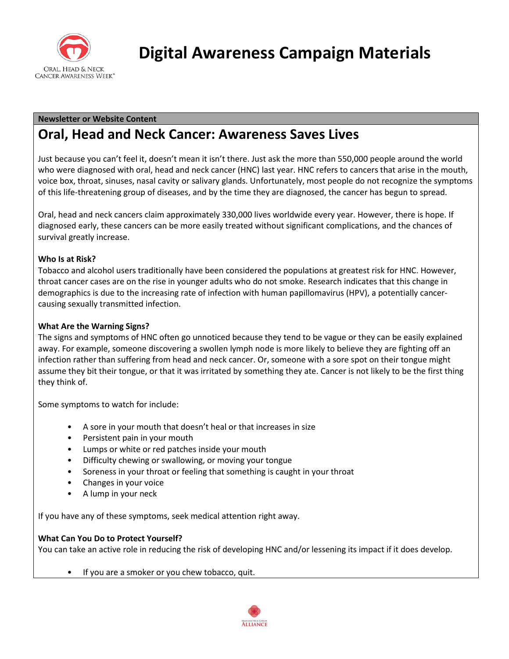

#### **Newsletter or Website Content**

### **Oral, Head and Neck Cancer: Awareness Saves Lives**

Just because you can't feel it, doesn't mean it isn't there. Just ask the more than 550,000 people around the world who were diagnosed with oral, head and neck cancer (HNC) last year. HNC refers to cancers that arise in the mouth, voice box, throat, sinuses, nasal cavity or salivary glands. Unfortunately, most people do not recognize the symptoms of this life-threatening group of diseases, and by the time they are diagnosed, the cancer has begun to spread.

Oral, head and neck cancers claim approximately 330,000 lives worldwide every year. However, there is hope. If diagnosed early, these cancers can be more easily treated without significant complications, and the chances of survival greatly increase.

#### **Who Is at Risk?**

Tobacco and alcohol users traditionally have been considered the populations at greatest risk for HNC. However, throat cancer cases are on the rise in younger adults who do not smoke. Research indicates that this change in demographics is due to the increasing rate of infection with human papillomavirus (HPV), a potentially cancercausing sexually transmitted infection.

#### **What Are the Warning Signs?**

The signs and symptoms of HNC often go unnoticed because they tend to be vague or they can be easily explained away. For example, someone discovering a swollen lymph node is more likely to believe they are fighting off an infection rather than suffering from head and neck cancer. Or, someone with a sore spot on their tongue might assume they bit their tongue, or that it was irritated by something they ate. Cancer is not likely to be the first thing they think of.

Some symptoms to watch for include:

- A sore in your mouth that doesn't heal or that increases in size
- Persistent pain in your mouth
- Lumps or white or red patches inside your mouth
- Difficulty chewing or swallowing, or moving your tongue
- Soreness in your throat or feeling that something is caught in your throat
- Changes in your voice
- A lump in your neck

If you have any of these symptoms, seek medical attention right away.

#### **What Can You Do to Protect Yourself?**

You can take an active role in reducing the risk of developing HNC and/or lessening its impact if it does develop.

If you are a smoker or you chew tobacco, quit.